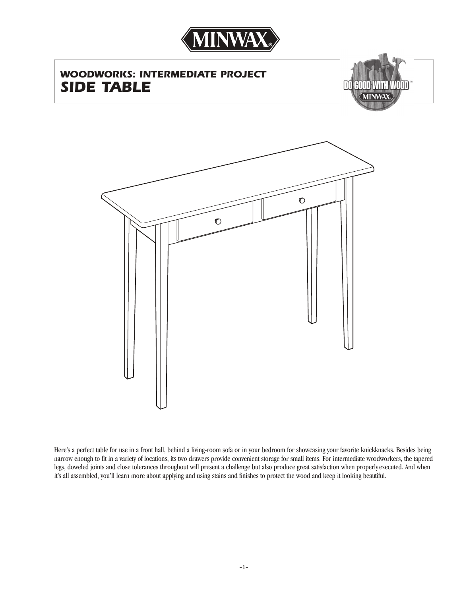

# *WOODWORKS: INTERMEDIATE PROJECT SIDE TABLE*





Here's a perfect table for use in a front hall, behind a living-room sofa or in your bedroom for showcasing your favorite knickknacks. Besides being narrow enough to fit in a variety of locations, its two drawers provide convenient storage for small items. For intermediate woodworkers, the tapered legs, doweled joints and close tolerances throughout will present a challenge but also produce great satisfaction when properlyexecuted. And when it's all assembled, you'll learn more about applying and using stains and finishes to protect the wood and keep it looking beautiful.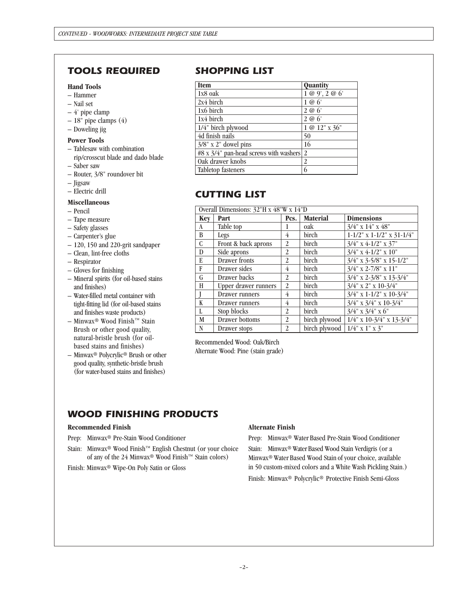# *TOOLS REQUIRED SHOPPING LIST*

### **Hand Tools**

- Hammer
- Nail set
- 4' pipe clamp
- 18" pipe clamps (4)
- Doweling jig

#### **Power Tools**

- Tablesaw with combination rip/crosscut blade and dado blade
- Saber saw
- Router, 3/8" roundover bit
- Jigsaw
- Electric drill

#### **Miscellaneous**

- Pencil
- Tape measure
- Safety glasses
- Carpenter's glue
- 120, 150 and 220-grit sandpaper
- Clean, lint-free cloths
- Respirator
- Gloves for finishing
- Mineral spirits (for oil-based stains and finishes)
- Water-filled metal container with tight-fitting lid (for oil-based stains and finishes waste products)
- Minwax® Wood Finish™ Stain Brush or other good quality, natural-bristle brush (for oilbased stains and finishes)
- Minwax® Polycrylic® Brush or other good quality, synthetic-bristle brush (for water-based stains and finishes)

| <b>Item</b>                            | Quantity       |
|----------------------------------------|----------------|
| 1x8 oak                                | 1 @ 9', 2 @ 6' |
| $2x4$ birch                            | 1@6'           |
| 1x6 birch                              | 2 @ 6'         |
| 1x4 birch                              | 2 @ 6'         |
| 1/4" birch plywood                     | 1 @ 12" x 36"  |
| 4d finish nails                        | 50             |
| $3/8$ " x 2" dowel pins                | 16             |
| #8 x 3/4" pan-head screws with washers | 2              |
| Oak drawer knobs                       |                |
| Tabletop fasteners                     |                |

# *CUTTING LIST*

| Overall Dimensions: 32"H x 48"W x 14"D |                      |                |                 |                                    |
|----------------------------------------|----------------------|----------------|-----------------|------------------------------------|
| Kev                                    | Part                 | Pcs.           | <b>Material</b> | <b>Dimensions</b>                  |
| A                                      | Table top            |                | oak             | $3/4$ " x $14$ " x $48$ "          |
| B                                      | Legs                 | 4              | birch           | $1-1/2$ " x $1-1/2$ " x $31-1/4$ " |
| $\mathsf{C}$                           | Front & back aprons  | $\overline{2}$ | <b>birch</b>    | $3/4$ " x 4-1/2" x 37"             |
| D                                      | Side aprons          | 2              | birch           | $3/4$ " x 4-1/2" x 10"             |
| E                                      | Drawer fronts        | $\overline{2}$ | <b>birch</b>    | $3/4$ " x 3-5/8" x 15-1/2"         |
| F                                      | Drawer sides         | 4              | birch           | $3/4$ " x 2-7/8" x 11"             |
| G                                      | Drawer backs         | $\overline{c}$ | birch           | $3/4$ " x 2-3/8" x 13-3/4"         |
| H                                      | Upper drawer runners | 2              | birch           | $3/4$ " x 2" x 10-3/4"             |
|                                        | Drawer runners       | 4              | birch           | $3/4$ " x 1-1/2" x 10-3/4"         |
| K                                      | Drawer runners       | 4              | birch           | $3/4$ " x $3/4$ " x $10-3/4$ "     |
| L                                      | Stop blocks          | $\overline{2}$ | birch           | $3/4$ " x $3/4$ " x $6$ "          |
| M                                      | Drawer bottoms       | 2              | birch plywood   | $1/4$ " x 10-3/4" x 13-3/4"        |
| N                                      | Drawer stops         | $\overline{2}$ | birch plywood   | $1/4$ " x 1" x 3"                  |

Recommended Wood: Oak/Birch Alternate Wood: Pine (stain grade)

### *WOOD FINISHING PRODUCTS*

#### **Recommended Finish**

Prep: Minwax® Pre-Stain Wood Conditioner

Stain: Minwax® Wood Finish™ English Chestnut (or your choice of any of the 24 Minwax® Wood Finish™ Stain colors)

Finish: Minwax® Wipe-On Poly Satin or Gloss

#### **Alternate Finish**

Prep: Minwax® Water Based Pre-Stain Wood Conditioner

Stain: Minwax® Water Based Wood Stain Verdigris (or a Minwax® Water Based Wood Stain of your choice, available in 50 custom-mixed colors and a White Wash Pickling Stain.) Finish: Minwax® Polycrylic® Protective Finish Semi-Gloss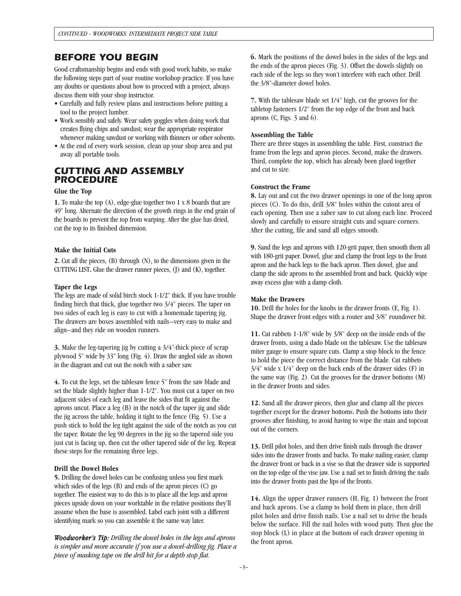### *BEFORE YOU BEGIN*

Good craftsmanship begins and ends with good work habits, so make the following steps part of your routine workshop practice. If you have any doubts or questions about how to proceed with a project, always discuss them with your shop instructor.

- Carefully and fully review plans and instructions before putting a tool to the project lumber.
- Work sensibly and safely. Wear safety goggles when doing work that creates flying chips and sawdust; wear the appropriate respirator whenever making sawdust or working with thinners or other solvents.
- At the end of every work session, clean up your shop area and put away all portable tools.

### *CUTTING AND ASSEMBLY PROCEDURE*

#### **Glue the Top**

**1.** To make the top (A), edge-glue together two 1 x 8 boards that are 49" long. Alternate the direction of the growth rings in the end grain of the boards to prevent the top from warping. After the glue has dried, cut the top to its finished dimension.

#### **Make the Initial Cuts**

**2.** Cut all the pieces, (B) through (N), to the dimensions given in the CUTTING LIST**.** Glue the drawer runner pieces, (J) and (K), together.

#### **Taper the Legs**

The legs are made of solid birch stock 1-1/2" thick. If you have trouble finding birch that thick, glue together two 3/4" pieces. The taper on two sides of each leg is easy to cut with a homemade tapering jig. The drawers are boxes assembled with nails–very easy to make and align–and they ride on wooden runners.

**3.** Make the leg-tapering jig by cutting a 3/4"-thick piece of scrap plywood 5" wide by 33" long (Fig. 4). Draw the angled side as shown in the diagram and cut out the notch with a saber saw.

**4.** To cut the legs, set the tablesaw fence 5" from the saw blade and set the blade slightly higher than 1-1/2". You must cut a taper on two adjacent sides of each leg and leave the sides that fit against the aprons uncut. Place a leg (B) in the notch of the taper jig and slide the jig across the table, holding it tight to the fence (Fig. 5). Use a push stick to hold the leg tight against the side of the notch as you cut the taper. Rotate the leg 90 degrees in the jig so the tapered side you just cut is facing up, then cut the other tapered side of the leg. Repeat these steps for the remaining three legs.

#### **Drill the Dowel Holes**

**5.** Drilling the dowel holes can be confusing unless you first mark which sides of the legs (B) and ends of the apron pieces (C) go together. The easiest way to do this is to place all the legs and apron pieces upside down on your worktable in the relative positions they'll assume when the base is assembled. Label each joint with a different identifying mark so you can assemble it the same way later.

*Woodworker's Tip: Drilling the dowel holes in the legs and aprons is simpler and more accurate if you use a dowel-drilling jig. Place a piece of masking tape on the drill bit for a depth stop flat.*

**6.** Mark the positions of the dowel holes in the sides of the legs and the ends of the apron pieces (Fig. 3). Offset the dowels slightly on each side of the legs so they won't interfere with each other. Drill the 3/8"-diameter dowel holes.

**7.** With the tablesaw blade set 1/4" high, cut the grooves for the tabletop fasteners 1/2" from the top edge of the front and back aprons (C, Figs. 3 and 6).

#### **Assembling the Table**

There are three stages in assembling the table. First, construct the frame from the legs and apron pieces. Second, make the drawers. Third, complete the top, which has already been glued together and cut to size.

#### **Construct the Frame**

**8.** Lay out and cut the two drawer openings in one of the long apron pieces (C). To do this, drill 3/8" holes within the cutout area of each opening. Then use a saber saw to cut along each line. Proceed slowly and carefully to ensure straight cuts and square corners. After the cutting, file and sand all edges smooth.

**9.** Sand the legs and aprons with 120-grit paper, then smooth them all with 180-grit paper. Dowel, glue and clamp the front legs to the front apron and the back legs to the back apron. Then dowel, glue and clamp the side aprons to the assembled front and back. Quickly wipe away excess glue with a damp cloth.

#### **Make the Drawers**

**10.** Drill the holes for the knobs in the drawer fronts (E, Fig. 1). Shape the drawer front edges with a router and 3/8" roundover bit.

**11.** Cut rabbets 1-1/8" wide by 3/8" deep on the inside ends of the drawer fronts, using a dado blade on the tablesaw. Use the tablesaw miter gauge to ensure square cuts. Clamp a stop block to the fence to hold the piece the correct distance from the blade. Cut rabbets 3/4" wide x 1/4" deep on the back ends of the drawer sides (F) in the same way (Fig. 2). Cut the grooves for the drawer bottoms (M) in the drawer fronts and sides.

**12.** Sand all the drawer pieces, then glue and clamp all the pieces together except for the drawer bottoms. Push the bottoms into their grooves after finishing, to avoid having to wipe the stain and topcoat out of the corners.

**13.** Drill pilot holes, and then drive finish nails through the drawer sides into the drawer fronts and backs. To make nailing easier, clamp the drawer front or back in a vise so that the drawer side is supported on the top edge of the vise jaw. Use a nail set to finish driving the nails into the drawer fronts past the lips of the fronts.

**14.** Align the upper drawer runners (H, Fig. 1) between the front and back aprons. Use a clamp to hold them in place, then drill pilot holes and drive finish nails. Use a nail set to drive the heads below the surface. Fill the nail holes with wood putty. Then glue the stop block (L) in place at the bottom of each drawer opening in the front apron.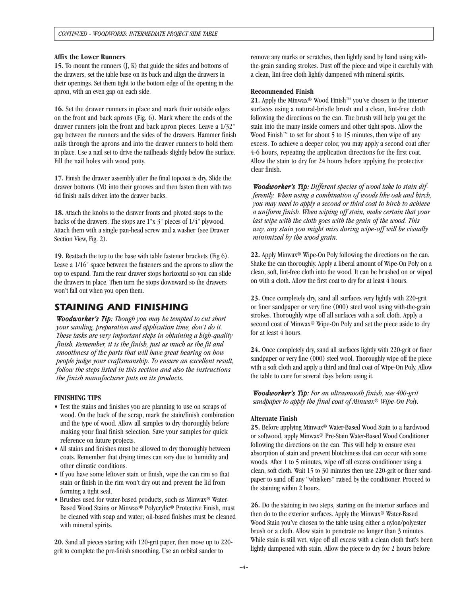#### **Affix the Lower Runners**

**15.** To mount the runners (J, K) that guide the sides and bottoms of the drawers, set the table base on its back and align the drawers in their openings. Set them tight to the bottom edge of the opening in the apron, with an even gap on each side.

**16.** Set the drawer runners in place and mark their outside edges on the front and back aprons (Fig. 6). Mark where the ends of the drawer runners join the front and back apron pieces. Leave a 1/32" gap between the runners and the sides of the drawers. Hammer finish nails through the aprons and into the drawer runners to hold them in place. Use a nail set to drive the nailheads slightly below the surface. Fill the nail holes with wood putty.

**17.** Finish the drawer assembly after the final topcoat is dry. Slide the drawer bottoms (M) into their grooves and then fasten them with two 4d finish nails driven into the drawer backs.

**18.** Attach the knobs to the drawer fronts and pivoted stops to the backs of the drawers. The stops are 1"x 3" pieces of 1/4" plywood. Attach them with a single pan-head screw and a washer (see Drawer Section View, Fig. 2).

**19.** Reattach the top to the base with table fastener brackets (Fig 6). Leave a 1/16" space between the fasteners and the aprons to allow the top to expand. Turn the rear drawer stops horizontal so you can slide the drawers in place. Then turn the stops downward so the drawers won't fall out when you open them.

### *STAINING AND FINISHING*

*Woodworker's Tip: Though you may be tempted to cut short your sanding, preparation and application time, don't do it. These tasks are very important steps in obtaining a high-quality finish. Remember, it is the finish, just as much as the fit and smoothness of the parts that will have great bearing on how people judge your craftsmanship. To ensure an excellent result, follow the steps listed in this section and also the instructions the finish manufacturer puts on its products.*

#### **FINISHING TIPS**

- Test the stains and finishes you are planning to use on scraps of wood. On the back of the scrap, mark the stain/finish combination and the type of wood. Allow all samples to dry thoroughly before making your final finish selection. Save your samples for quick reference on future projects.
- All stains and finishes must be allowed to dry thoroughly between coats. Remember that drying times can vary due to humidity and other climatic conditions.
- If you have some leftover stain or finish, wipe the can rim so that stain or finish in the rim won't dry out and prevent the lid from forming a tight seal.
- Brushes used for water-based products, such as Minwax® Water-Based Wood Stains or Minwax® Polycrylic® Protective Finish, must be cleaned with soap and water; oil-based finishes must be cleaned with mineral spirits.

**20.** Sand all pieces starting with 120-grit paper, then move up to 220 grit to complete the pre-finish smoothing. Use an orbital sander to

remove any marks or scratches, then lightly sand by hand using withthe-grain sanding strokes. Dust off the piece and wipe it carefully with a clean, lint-free cloth lightly dampened with mineral spirits.

#### **Recommended Finish**

**21.** Apply the Minwax® Wood Finish™ you've chosen to the interior surfaces using a natural-bristle brush and a clean, lint-free cloth following the directions on the can. The brush will help you get the stain into the many inside corners and other tight spots. Allow the Wood Finish<sup>™</sup> to set for about 5 to 15 minutes, then wipe off any excess. To achieve a deeper color, you may apply a second coat after 4-6 hours, repeating the application directions for the first coat. Allow the stain to dry for 24 hours before applying the protective clear finish.

*Woodworker's Tip: Different species of wood take to stain differently. When using a combination of woods like oak and birch, you may need to apply a second or third coat to birch to achieve a uniform finish. When wiping off stain, make certain that your last wipe with the cloth goes with the grain of the wood. This way, any stain you might miss during wipe-off will be visually minimized by the wood grain.*

**22.** Apply Minwax® Wipe-On Poly following the directions on the can. Shake the can thoroughly. Apply a liberal amount of Wipe-On Poly on a clean, soft, lint-free cloth into the wood. It can be brushed on or wiped on with a cloth. Allow the first coat to dry for at least 4 hours.

**23.** Once completely dry, sand all surfaces very lightly with 220-grit or finer sandpaper or very fine (000) steel wool using with-the-grain strokes. Thoroughly wipe off all surfaces with a soft cloth. Apply a second coat of Minwax<sup>®</sup> Wipe-On Poly and set the piece aside to dry for at least 4 hours.

**24.** Once completely dry, sand all surfaces lightly with 220-grit or finer sandpaper or very fine (000) steel wool. Thoroughly wipe off the piece with a soft cloth and apply a third and final coat of Wipe-On Poly. Allow the table to cure for several days before using it.

*Woodworker's Tip: For an ultrasmooth finish, use 400-grit sandpaper to apply the final coat of Minwax® Wipe-On Poly.* 

#### **Alternate Finish**

**25.** Before applying Minwax® Water-Based Wood Stain to a hardwood or softwood, apply Minwax® Pre-Stain Water-Based Wood Conditioner following the directions on the can. This will help to ensure even absorption of stain and prevent blotchiness that can occur with some woods. After 1 to 5 minutes, wipe off all excess conditioner using a clean, soft cloth. Wait 15 to 30 minutes then use 220-grit or finer sandpaper to sand off any "whiskers" raised by the conditioner. Proceed to the staining within 2 hours.

**26.** Do the staining in two steps, starting on the interior surfaces and then do to the exterior surfaces. Apply the Minwax® Water-Based Wood Stain you've chosen to the table using either a nylon/polyester brush or a cloth. Allow stain to penetrate no longer than 3 minutes. While stain is still wet, wipe off all excess with a clean cloth that's been lightly dampened with stain. Allow the piece to dry for 2 hours before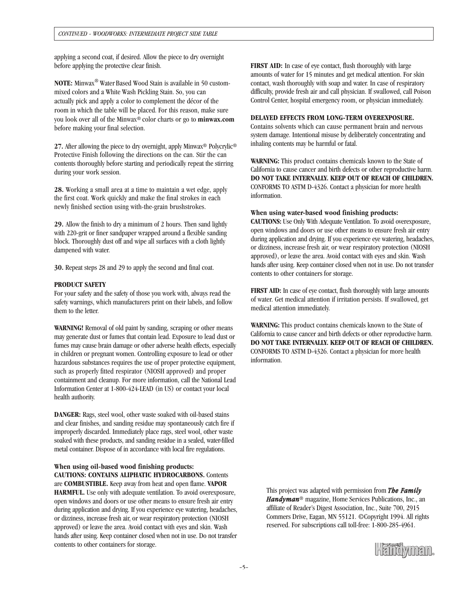applying a second coat, if desired. Allow the piece to dry overnight before applying the protective clear finish.

**NOTE:** Minwax® Water Based Wood Stain is available in 50 custommixed colors and a White Wash Pickling Stain. So, you can actually pick and apply a color to complement the décor of the room in which the table will be placed. For this reason, make sure you look over all of the Minwax® color charts or go to **minwax.com**  before making your final selection.

**27.** After allowing the piece to dry overnight, apply Minwax® Polycrylic® Protective Finish following the directions on the can. Stir the can contents thoroughly before starting and periodically repeat the stirring during your work session.

**28.** Working a small area at a time to maintain a wet edge, apply the first coat. Work quickly and make the final strokes in each newly finished section using with-the-grain brushstrokes.

**29.** Allow the finish to dry a minimum of 2 hours. Then sand lightly with 220-grit or finer sandpaper wrapped around a flexible sanding block. Thoroughly dust off and wipe all surfaces with a cloth lightly dampened with water.

**30.** Repeat steps 28 and 29 to apply the second and final coat.

#### **PRODUCT SAFETY**

For your safety and the safety of those you work with, always read the safety warnings, which manufacturers print on their labels, and follow them to the letter.

**WARNING!** Removal of old paint by sanding, scraping or other means may generate dust or fumes that contain lead. Exposure to lead dust or fumes may cause brain damage or other adverse health effects, especially in children or pregnant women. Controlling exposure to lead or other hazardous substances requires the use of proper protective equipment, such as properly fitted respirator (NIOSH approved) and proper containment and cleanup. For more information, call the National Lead Information Center at 1-800-424-LEAD (in US) or contact your local health authority.

**DANGER:** Rags, steel wool, other waste soaked with oil-based stains and clear finishes, and sanding residue may spontaneously catch fire if improperly discarded. Immediately place rags, steel wool, other waste soaked with these products, and sanding residue in a sealed, water-filled metal container. Dispose of in accordance with local fire regulations.

**When using oil-based wood finishing products: CAUTIONS: CONTAINS ALIPHATIC HYDROCARBONS.** Contents are **COMBUSTIBLE.** Keep away from heat and open flame. **VAPOR HARMFUL.** Use only with adequate ventilation. To avoid overexposure, open windows and doors or use other means to ensure fresh air entry during application and drying. If you experience eye watering, headaches, or dizziness, increase fresh air, or wear respiratory protection (NIOSH approved) or leave the area. Avoid contact with eyes and skin. Wash hands after using. Keep container closed when not in use. Do not transfer contents to other containers for storage.

**FIRST AID:** In case of eye contact, flush thoroughly with large amounts of water for 15 minutes and get medical attention. For skin contact, wash thoroughly with soap and water. In case of respiratory difficulty, provide fresh air and call physician. If swallowed, call Poison Control Center, hospital emergency room, or physician immediately.

#### **DELAYED EFFECTS FROM LONG-TERM OVEREXPOSURE.**

Contains solvents which can cause permanent brain and nervous system damage. Intentional misuse by deliberately concentrating and inhaling contents may be harmful or fatal.

**WARNING:** This product contains chemicals known to the State of California to cause cancer and birth defects or other reproductive harm. **DO NOT TAKE INTERNALLY. KEEP OUT OF REACH OF CHILDREN.** CONFORMS TO ASTM D-4326. Contact a physician for more health information.

#### **When using water-based wood finishing products:**

**CAUTIONS:** Use Only With Adequate Ventilation. To avoid overexposure, open windows and doors or use other means to ensure fresh air entry during application and drying. If you experience eye watering, headaches, or dizziness, increase fresh air, or wear respiratory protection (NIOSH approved), or leave the area. Avoid contact with eyes and skin. Wash hands after using. Keep container closed when not in use. Do not transfer contents to other containers for storage.

**FIRST AID:** In case of eye contact, flush thoroughly with large amounts of water. Get medical attention if irritation persists. If swallowed, get medical attention immediately.

**WARNING:** This product contains chemicals known to the State of California to cause cancer and birth defects or other reproductive harm. **DO NOT TAKE INTERNALLY. KEEP OUT OF REACH OF CHILDREN.** CONFORMS TO ASTM D-4326. Contact a physician for more health information.

This project was adapted with permission from *The Family Handyman*® magazine, Home Services Publications, Inc., an affiliate of Reader's Digest Association, Inc., Suite 700, 2915 Commers Drive, Eagan, MN 55121. ©Copyright 1994. All rights reserved. For subscriptions call toll-free: 1-800-285-4961.

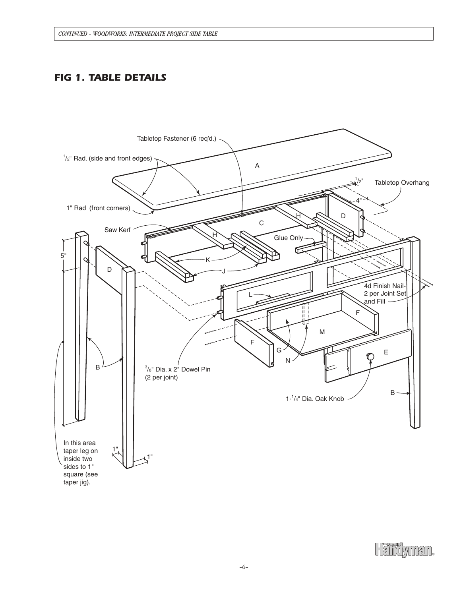# *FIG 1. TABLE DETAILS*

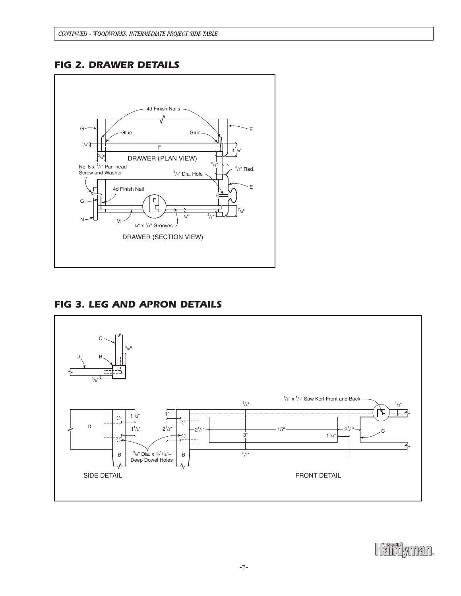# *FIG 2. DRAWER DETAILS*



# *FIG 3. LEG AND APRON DETAILS*



Heindymen.